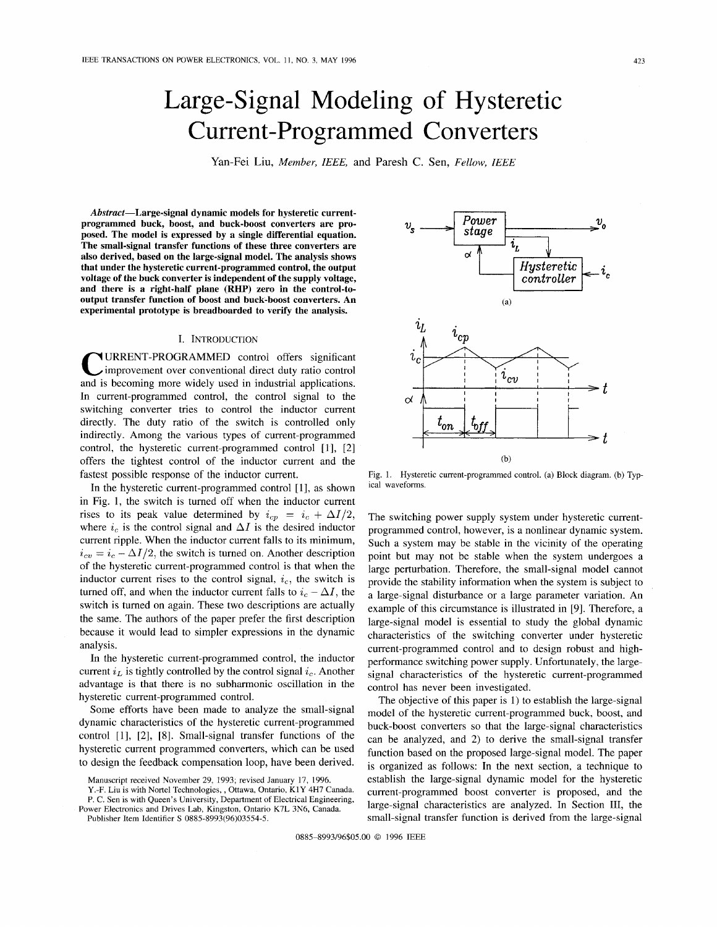# Large-Signal Modeling of Hysteretic Current-Programmed Converters

Yan-Fei Liu, *Member, IEEE,* and Paresh C. Sen, *Fellow, IEEE* 

**Abstract-Large-signal dynamic models for hysteretic currentprogrammed buck, boost, and buck-boost converters are proposed. The model is expressed by a single differential equation. The small-signal transfer functions of these three converters are also derived, based on the large-signal model. The analysis shows that under the hysteretic current-programmed control, the output voltage of the buck converter is independent of the supply voltage, and there is a right-half plane (RHP) zero in the control-tooutput transfer function of boost and buck-boost converters. An experimental prototype is breadboarded to verify the analysis.** 

#### I. INTRODUCTION

URRENT-PROGRAMMED control offers significant **C** improvement over conventional direct duty ratio control and is becoming more widely used in industrial applications. In current-programmed control, the control signal to the switching converter tries to control the inductor current directly. The duty ratio of the switch is controlled only indirectly. Among the various types of current-programmed control, the hysteretic current-programmed control [1], [2] offers the tightest control of the inductor current and the fastest possible response of the inductor current.

In the hysteretic current-programmed control [1], as shown in Fig. 1, the switch is turned off when the inductor current rises to its peak value determined by  $i_{cp} = i_c + \Delta I/2$ , where  $i_c$  is the control signal and  $\Delta I$  is the desired inductor current ripple. When the inductor current falls to its minimum,  $i_{cv} = i_c - \Delta I/2$ , the switch is turned on. Another description of the hysteretic current-programmed control is that when the inductor current rises to the control signal,  $i_c$ , the switch is turned off, and when the inductor current falls to  $i_c - \Delta I$ , the switch is turned on again. These two descriptions are actually the same. The authors of the paper prefer the first description because it would lead to simpler expressions in the dynamic analysis.

In the hysteretic current-programmed control, the inductor current  $i<sub>L</sub>$  is tightly controlled by the control signal  $i<sub>c</sub>$ . Another advantage is that there is no subharmonic oscillation in the hysteretic current-programmed control.

Some efforts have been made to analyze the small-signal dynamic characteristics of the hysteretic current-programmed control [l], *[2],* **[8].** Small-signal transfer functions of the hysteretic current programmed converters, which can be used to design the feedback compensation loop, have been derived.

Y.-F. Lin is with Nortel Technologies, , Ottawa, Ontario, K1Y 4H7 Canada. P. C. Sen is with Queen's University, Department of Electrical Engineering, Power Electronics and Drives Lab, Kingston, Ontario K7L 3N6, Canada.

Publisher Item Identifier S 0885-8993(96)03554-5.



Fig. 1. Hysteretic current-programmed control. (a) Block diagram. (b) Typical waveforms.

The switching power supply system under hysteretic currentprogrammed control, however, is a nonlinear dynamic system. Such a system may be stable in the vicinity of the operating point but may not be stable when the system undergoes a large perturbation. Therefore, the small-signal model cannot provide the stability information when the system is subject to a large-signal disturbance or a large parameter variation. An example of this circumstance is illustrated in [9]. Therefore, a large-signal model is essential to study the global dynamic characteristics of the switching converter under hysteretic current-programmed control and to design robust and highperformance switching power supply. Unfortunately, the largesignal characteristics of the hysteretic current-programmed control has never been investigated.

The objective of this paper is 1) to establish the large-signal model of the hysteretic current-programmed buck, boost, and buck-boost converters so that the large-signal characteristics can be analyzed, and 2) to derive the small-signal transfer function based on the proposed large-signal model. The paper is organized as follows: In the next section, a technique to establish the large-signal dynamic model for the hysteretic current-programmed boost converter is proposed, and the large-signal characteristics are analyzed. In Section 111, the small-signal transfer function is derived from the large-signal

0885-8993/96\$05.00 *0* 1996 IEEE

Manuscript received November 29, 1993; revised January 17, 1996.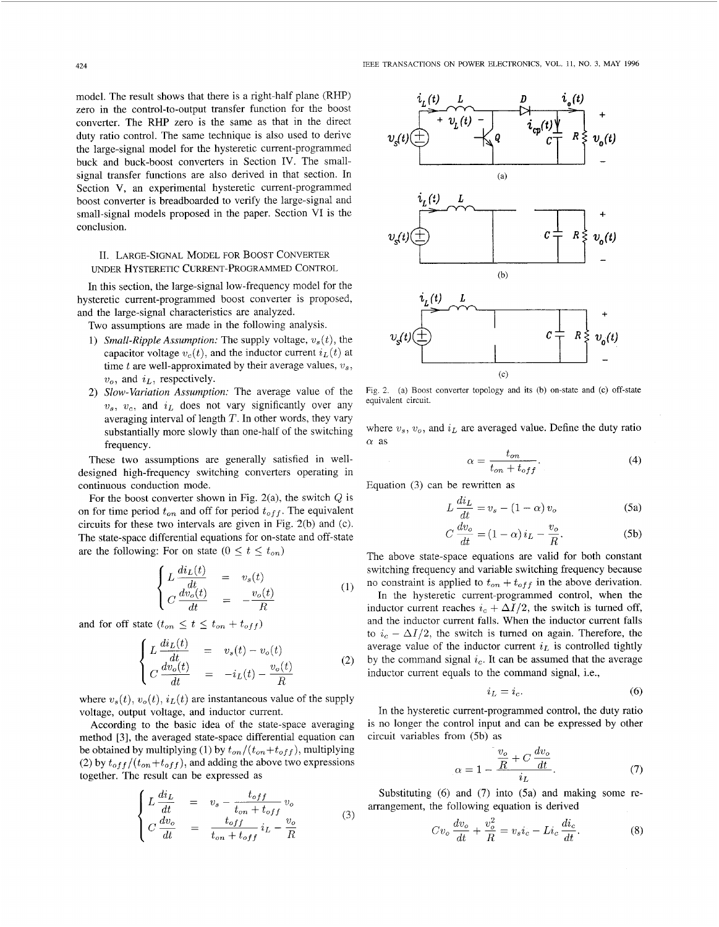*model. The result shows that there is a right-half plane (RHP)* zero in the control-to-output transfer function for the boost converter. The RHP zero is the same as that in the direct duty ratio control. The same technique is also used to derive the large-signal model for the hysteretic current-programmed buck and buck-boost converters in Section IV. The smallsignal transfer functions are also derived in that section. In Section V, an experimental hysteretic current-programmed boost converter is breadboarded to verify the large-signal and conclusion.

## 11. LARGE-SIGNAL MODEL FOR BOOST CONVERTER UNDER HYSTERETIC CURRENT-PROGRAMMED CONTROL

In this section, the large-signal low-frequency model for the hysteretic current-programmed boost converter is proposed, and the large-signal characteristics are analyzed.

Two assumptions are made in the following analysis.

- 1) *Small-Ripple Assumption:* The supply voltage,  $v_s(t)$ , the capacitor voltage  $v_c(t)$ , and the inductor current  $i_L(t)$  at time  $t$  are well-approximated by their average values,  $v_s$ ,  $v_o$ , and  $i<sub>L</sub>$ , respectively.
- 2) *Slow-Variation Assumption:* The average value of the  $v_s$ ,  $v_c$ , and  $i<sub>L</sub>$  does not vary significantly over any averaging interval of length  $T$ . In other words, they vary substantially more slowly than one-half of the switching frequency.

These two assumptions are generally satisfied in welldesigned high-frequency switching converters operating in continuous conduction mode.

For the boost converter shown in Fig. 2(a), the switch  $Q$  is on for time period  $t_{on}$  and off for period  $t_{off}$ . The equivalent circuits for these two intervals are given in Fig. 2(b) and (c). The state-space differential equations for on-state and off-state are the following: For on state  $(0 \leq t \leq t_{on})$ 

$$
\begin{cases}\nL \frac{di_L(t)}{dt} = v_s(t) \\
C \frac{dv_o(t)}{dt} = -\frac{v_o(t)}{R}\n\end{cases}
$$
\n(1)

and for off state  $(t_{on} \leq t \leq t_{on} + t_{off})$ **Carl College** 

$$
\begin{cases}\nL \frac{di_L(t)}{dt} = v_s(t) - v_o(t) \\
C \frac{dv_o(t)}{dt} = -i_L(t) - \frac{v_o(t)}{R}\n\end{cases}
$$
\n(2)

where  $v_s(t)$ ,  $v_o(t)$ ,  $i_L(t)$  are instantaneous value of the supply voltage, output voltage, and inductor current.

According to the basic idea of the state-space averaging method [3], the averaged state-space differential equation can (2) by  $t_{off}/(t_{on}+t_{off})$ , and adding the above two expressions be obtained by multiplying (1) by  $t_{on}/(t_{on}+t_{off})$ , multiplying together. The result can be expressed as

$$
\begin{cases}\nL \frac{di_L}{dt} = v_s - \frac{t_{off}}{t_{on} + t_{off}} v_o\n\end{cases}
$$
\nSubstituting (6) and (7) into (5a) and making some re-  
\narrangement, the following equation is derived\n
$$
C \frac{dv_o}{dt} = \frac{t_{off}}{t_{on} + t_{off}} i_L - \frac{v_o}{R}
$$
\n(3)\n
$$
C v_o \frac{dv_o}{dt} + \frac{v_o^2}{R} = v_s i_c - Li_c \frac{di_c}{dt}.
$$
\n(8)



Fig. 2. (a) Boost converter topology and its (b) on-state and (c) off-state equivalent circuit.

where  $v_s$ ,  $v_o$ , and  $i<sub>L</sub>$  are averaged value. Define the duty ratio  $\alpha$  as

$$
\alpha = \frac{t_{on}}{t_{on} + t_{off}}.\tag{4}
$$

Equation (3) can be rewritten as

$$
t_{on} + t_{off}
$$
  
be rewritten as  

$$
L \frac{di_L}{dt} = v_s - (1 - \alpha) v_o
$$
 (5a)

$$
C\,\frac{dv_o}{dt} = (1 - \alpha)\,i_L - \frac{v_o}{R}.\tag{5b}
$$

The above state-space equations are valid for both constant switching frequency and variable switching frequency because no constraint is applied to  $t_{on} + t_{off}$  in the above derivation.

In the hysteretic current-programmed control, when the inductor current reaches  $i_c + \Delta I/2$ , the switch is turned off, and the inductor current falls. When the inductor current falls to  $i_c - \Delta I/2$ , the switch is turned on again. Therefore, the average value of the inductor current  $i<sub>L</sub>$  is controlled tightly by the command signal  $i_c$ . It can be assumed that the average inductor current equals to the command signal, i.e.,

$$
i_L = i_c. \t\t(6)
$$

In the hysteretic current-programmed control, the duty ratio is no longer the control input and can be expressed by other circuit variables from (5b) as

$$
\alpha = 1 - \frac{v_o}{R} + C \frac{dv_o}{dt}
$$
\n<sup>(7)</sup>

arrangement, the following equation is derived

$$
Cv_o \frac{dv_o}{dt} + \frac{v_o^2}{R} = v_s i_c - Li_c \frac{di_c}{dt}.
$$
 (8)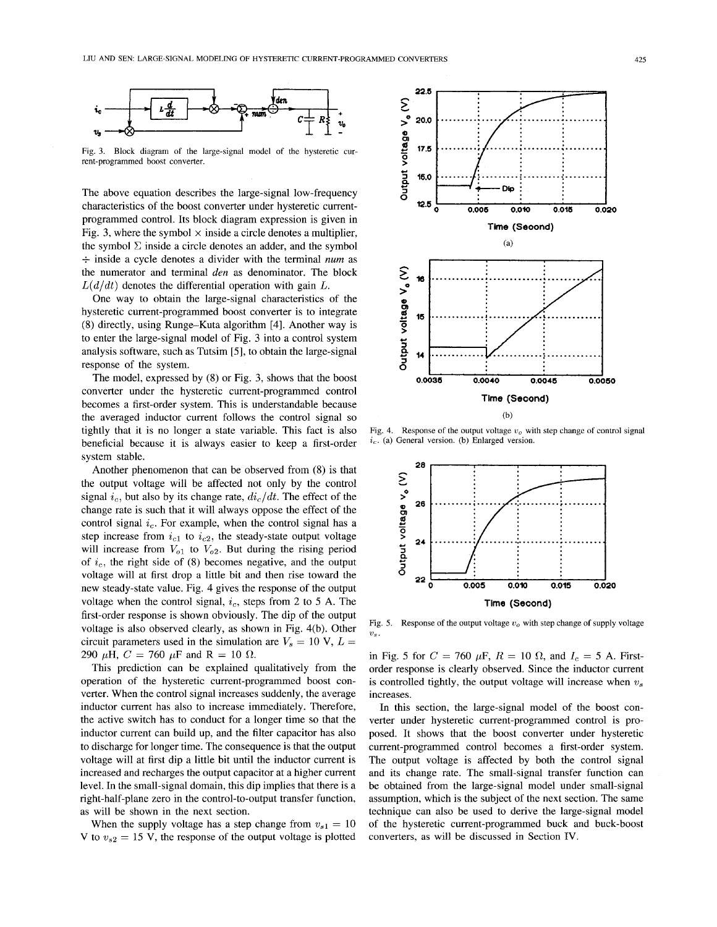

Fig. **3.**  Block diagram of the large-signal model of the hysteretic current-programmed boost converter.

The above equation describes the large-signal low-frequency characteristics of the boost converter under hysteretic currentprogrammed control. Its block diagram expression is given in Fig. 3, where the symbol  $\times$  inside a circle denotes a multiplier. the symbol  $\Sigma$  inside a circle denotes an adder, and the symbol  $\div$  inside a cycle denotes a divider with the terminal *num* as the numerator and terminal *den* as denominator. The block  $L(d/dt)$  denotes the differential operation with gain *L*.

One way to obtain the large-signal Characteristics of the hysteretic current-programmed boost converter is to integrate (8) directly, using Runge-Kuta algorithm [4]. Another way is to enter the large-signal model of Fig. 3 into a control system analysis software, such as Tutsim [SI, to obtain the large-signal response of the system.

The model, expressed by (8) or Fig. *3,* shows that the boost converter under the hysteretic current-programmed control becomes a first-order system. This is understandable because the averaged inductor current follows the control signal so tightly that it is no longer a state variable. This fact is also beneficial because it is always easier to keep a first-order system stable.

Another phenomenon that can be observed from (8) is that the output voltage will be affected not only by the control signal  $i_c$ , but also by its change rate,  $di_c/dt$ . The effect of the change rate is such that it will always oppose the effect of the control signal  $i_c$ . For example, when the control signal has a step increase from  $i_{c1}$  to  $i_{c2}$ , the steady-state output voltage will increase from  $V_{o1}$  to  $V_{o2}$ . But during the rising period of *i,,* the right side of (8) becomes negative, and the output voltage will at first drop a little bit and then rise toward the new steady-state value. Fig. 4 gives the response of the output voltage when the control signal,  $i_c$ , steps from 2 to 5 A. The first-order response is shown obviously. The dip of the output voltage is also observed clearly, as shown in Fig. 4(b). Other circuit parameters used in the simulation are  $V_s = 10$  V,  $L =$ 290  $\mu$ H,  $C = 760 \mu$ F and R = 10  $\Omega$ .

This prediction can be explained qualitatively from the operation of the hysteretic current-programmed boost converter. When the control signal increases suddenly, the average inductor current has also to increase immediately. Therefore, the active switch has to conduct for a longer time so that the inductor current can build up, and the filter capacitor has also to discharge for longer time. The consequence is that the output voltage will at first dip a little bit until the inductor current is increased and recharges the output capacitor at a higher current level. In the small-signal domain, this dip implies that there is a right-half-plane zero in the control-to-output transfer function, as will be shown in the next section.

When the supply voltage has a step change from  $v_{s1} = 10$ V to  $v_{s2} = 15$  V, the response of the output voltage is plotted



Fig. 4. Response of the output voltage  $v<sub>o</sub>$  with step change of control signal  $i_c$ . (a) General version. (b) Enlarged version.



Fig. *5.* Response of the output voltage *uo* with step change of supply voltage  $v_s$  .

in Fig. 5 for  $C = 760 \mu$ F,  $R = 10 \Omega$ , and  $I_c = 5$  A. Firstorder response is clearly observed. Since the inductor current is controlled tightly, the output voltage will increase when *U,*  increases.

In this section, the large-signal model of the boost converter under hysteretic current-programmed control is proposed. It shows that the boost converter under hysteretic current-programmed control becomes a first-order system. The output voltage is affected by both the control signal and its change rate. The small-signal transfer function can be obtained from the large-signal model under small-signal assumption, which is the subject of the next section. The same technique can also be used to derive the large-signal model of the hysteretic current-programmed buck and buck-boost converters, as will be discussed in Section IV.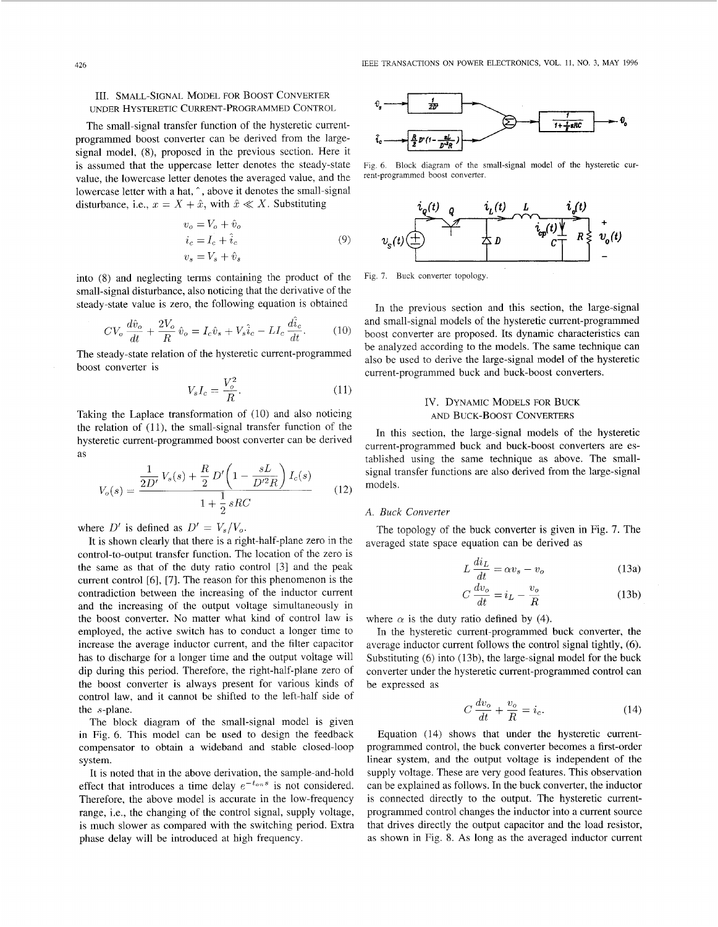## 111. SMALL-SIGNAL MODEL FOR BOOST CONVERTER UNDER HYSTERETIC CURRENT-PROGRAMMED CONTROL **9,**

The small-signal transfer function of the hysteretic current-  $\sum_{n=1}^{\infty}$ programmed boost converter can be derived from the largesignal model, (8), proposed in the previous section. Here it is assumed that the uppercase letter denotes the steady-state value, the lowercase letter denotes the averaged value, and the lowercase letter with a hat,  $\hat{ }$ , above it denotes the small-signal disturbance, i.e.,  $x = X + \hat{x}$ , with  $\hat{x} \ll X$ . Substituting

$$
v_o = V_o + \hat{v}_o
$$
  
\n
$$
i_c = I_c + \hat{i}_c
$$
  
\n
$$
v_s = V_s + \hat{v}_s
$$
\n(9)

into (8) and neglecting terms containing the product of the small-signal disturbance, also noticing that the derivative of the steady-state value is zero, the following equation is obtained In the previous section and this section, the large-signal

$$
CV_o \frac{d\hat{v}_o}{dt} + \frac{2V_o}{R} \hat{v}_o = I_c \hat{v}_s + V_s \hat{i}_c - LI_c \frac{d\hat{i}_c}{dt}.
$$
 (10)

$$
V_s I_c = \frac{V_o^2}{R}.\tag{11}
$$

Taking the Laplace transformation of (10) and also noticing the relation of  $(11)$ , the small-signal transfer function of the hysteretic current-programmed boost converter can be derived as

$$
V_o(s) = \frac{\frac{1}{2D'}V_s(s) + \frac{R}{2}D'\left(1 - \frac{sL}{D'^2R}\right)I_c(s)}{1 + \frac{1}{2}sRC}
$$
(12)

where  $D'$  is defined as  $D' = V_s/V_o$ .

It is shown clearly that there is a right-half-plane zero in the control-to-output transfer function. The location of the zero is the same as that of the duty ratio control [3] and the peak current control [6], [7]. The reason for this phenomenon is the contradiction between the increasing of the inductor current and the increasing of the output voltage simultaneously in the boost converter. No matter what kind of control law is employed, the active switch has to conduct a longer time to increase the average inductor current, and the filter capacitor has to discharge for a longer time and the output voltage will dip during this period. Therefore, the right-half-plane zero of the boost converter is always present for various kinds of control law, and it cannot be shifted to the left-half side of the s-plane.

The block diagram of the small-signal model is given in Fig. 6. This model can be used to design the feedback compensator to obtain a wideband and stable closed-loop system.

It is noted that in the above derivation, the sample-and-hold effect that introduces a time delay  $e^{-t_{on}s}$  is not considered. Therefore, the above model is accurate in the low-frequency range, i.e., the changing of the control signal, supply voltage, is much slower as compared with the switching period. Extra phase delay will be introduced at high frequency.



Fig. 6. Block diagram of the small-signal model of the hysteretic current-programmed boost converter.



Fig. 7. Buck converter topology.

and small-signal models of the hysteretic current-programmed boost converter are proposed. Its dynamic characteristics can be analyzed according to the models. The same technique can The steady-state relation of the hysteretic current-programmed<br>boost converter is<br>converter is<br>current-programmed buck and buck-boost converters.

## Iv. DYNAMIC MODELS FOR BUCK AND BUCK-BOOST CONVERTERS

In this section, the large-signal models of the hysteretic current-programmed buck and buck-boost converters are established using the same technique as above. The smallsignal transfer functions are also derived from the large-signal models.

### **A.** *Buck Converter*

The topology of the buck converter is given in Fig. 7. The averaged state space equation can be derived as

$$
L\frac{di_L}{dt} = \alpha v_s - v_o \tag{13a}
$$

$$
C\frac{dv_o}{dt} = i_L - \frac{v_o}{R}
$$
 (13b)

where  $\alpha$  is the duty ratio defined by (4).

In the hysteretic current-programmed buck converter, the average inductor current follows the control signal tightly, (6). Substituting (6) into (13b), the large-signal model for the buck converter under the hysteretic current-programmed control can be expressed as

$$
C\frac{dv_o}{dt} + \frac{v_o}{R} = i_c.
$$
 (14)

Equation (14) shows that under the hysteretic currentprogrammed control, the buck converter becomes a first-order linear system, and the output voltage is independent of the supply voltage. These are very good features. This observation can be explained as follows. In the buck converter, the inductor is connected directly to the output. The hysteretic currentprogrammed control changes the inductor into a current source that drives directly the output capacitor and the load resistor, as shown in [Fig. 8.](#page-4-0) As long as the averaged inductor current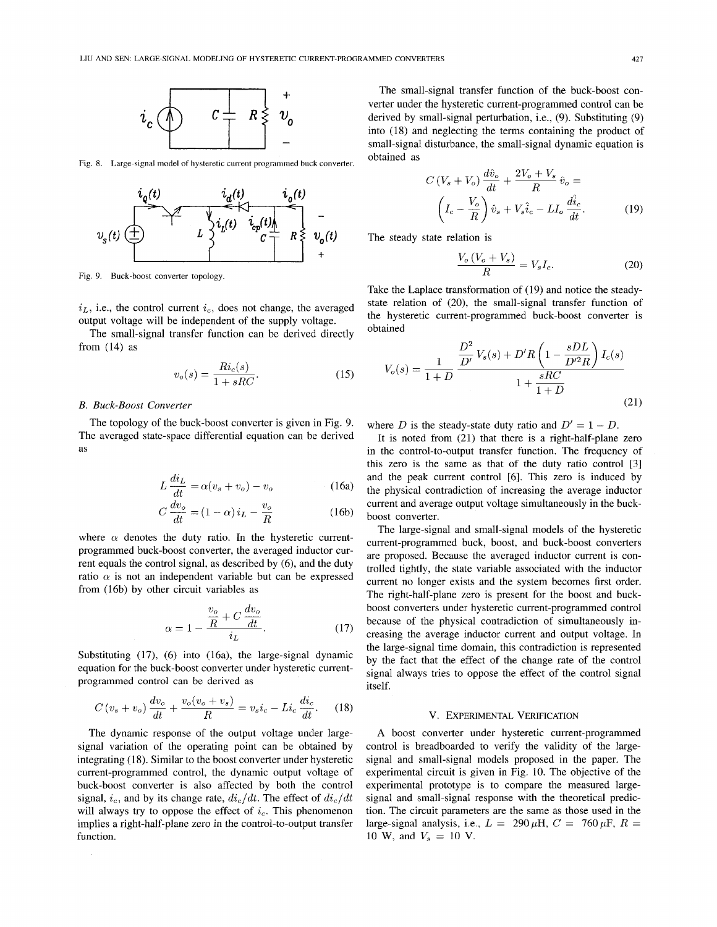<span id="page-4-0"></span>

Fig. 8. Large-signal model of hysteretic current programmed buck converter.



Fig. 9. Buck-boost converter topology.

 $i<sub>L</sub>$ , i.e., the control current  $i<sub>c</sub>$ , does not change, the averaged output voltage will be independent of the supply voltage.

The small-signal transfer function can be derived directly from  $(14)$  as

$$
v_o(s) = \frac{Ri_c(s)}{1 + sRC}.\tag{15}
$$

#### *B. Buck-Boost Converter*

The topology of the buck-boost converter is given in Fig. 9. The averaged state-space differential equation can be derived as

$$
L\frac{di_L}{dt} = \alpha(v_s + v_o) - v_o
$$
 (16a)  

$$
C\frac{dv_o}{dt} = (1 - \alpha)i_L - \frac{v_o}{R}
$$
 (16b)

$$
C\frac{dv_o}{dt} = (1 - \alpha)i_L - \frac{v_o}{R}
$$
 (16b)

where  $\alpha$  denotes the duty ratio. In the hysteretic currentprogrammed buck-boost converter, the averaged inductor current equals the control signal, as described by (6), and the duty ratio  $\alpha$  is not an independent variable but can be expressed from (16b) by other circuit variables as

$$
\alpha = 1 - \frac{\frac{v_o}{R} + C \frac{dv_o}{dt}}{i_L}.
$$
 (17)

Substituting  $(17)$ ,  $(6)$  into  $(16a)$ , the large-signal dynamic equation for the buck-boost converter under hysteretic currentprogrammed control can be derived as

$$
C(v_s + v_o) \frac{dv_o}{dt} + \frac{v_o(v_o + v_s)}{R} = v_s i_c - Li_c \frac{di_c}{dt}.
$$
 (18)

The dynamic response of the output voltage under largesignal variation of the operating point can be obtained by integrating (18). Similar to the boost converter under hysteretic current-programmed control, the dynamic output voltage of buck-boost converter is also affected by both the control signal,  $i_c$ , and by its change rate,  $di_c/dt$ . The effect of  $di_c/dt$ will always try to oppose the effect of  $i<sub>c</sub>$ . This phenomenon implies a right-half-plane zero in the control-to-output transfer function.

The small-signal transfer function of the buck-boost converter under the hysteretic current-programmed control can be derived by small-signal perturbation, i.e., (9). Substituting (9) into (18) and neglecting the terms containing the product of small-signal disturbance, the small-signal dynamic equation is obtained as

$$
C\left(V_s + V_o\right)\frac{d\hat{v}_o}{dt} + \frac{2V_o + V_s}{R}\hat{v}_o =
$$
\n
$$
\left(I_c - \frac{V_o}{R}\right)\hat{v}_s + V_s\hat{i}_c - LI_o\frac{d\hat{i}_c}{dt}.
$$
\n(19)

The steady state relation is

$$
\frac{V_o\left(V_o + V_s\right)}{R} = V_s I_c. \tag{20}
$$

Take the Laplace transformation of (19) and notice the steadystate relation of (20), the small-signal transfer function of the hysteretic current-programmed buck-boost converter is obtained

Let the Laplace transformation of (19) and notice the steady-  
\nte relation of (20), the small-signal transfer function of   
\n
$$
b
$$
 bysteretic current-programmed buck-boost convergence   
\n $V_o(s) = \frac{1}{1+D} \frac{D^2 V_s(s) + D'R \left(1 - \frac{sDL}{D'^2R}\right) I_c(s)}{1 + \frac{sRC}{1+D}}$ \n(21)

where *D* is the steady-state duty ratio and  $D' = 1 - D$ .

It is noted from (21) that there is a right-half-plane zero in the control-to-output transfer function. The frequency of this zero is the same as that of the duty ratio control [3] and the peak current control [6]. This zero is induced by the physical contradiction of increasing the average inductor current and average output voltage simultaneously in the buckboost converter.

The large-signal and small-signal models of the hysteretic current-programmed buck, boost, and buck-boost converters are proposed. Because the averaged inductor current is controlled tightly, the state variable associated with the inductor current no longer exists and the system becomes first order. The right-half-plane zero is present for the boost and buckboost converters under hysteretic current-programmed control because of the physical contradiction of simultaneously increasing the average inductor current and output voltage. In the large-signal time domain, this contradiction is represented by the fact that the effect of the change rate of the control signal always tries to oppose the effect of the control signal itself.

#### V. EXPERIMENTAL VERIFICATION

**A** boost converter under hysteretic current-programmed control is breadboarded to verify the validity of the largesignal and small-signal models proposed in the paper. The experimental circuit is given in [Fig. 10.](#page-5-0) The objective of the experimental prototype is to compare the measured largesignal and small-signal response with the theoretical prediction. The circuit parameters are the same as those used in the large-signal analysis, i.e.,  $L = 290 \mu$ H,  $C = 760 \mu$ F,  $R =$ 10 W, and  $V_s = 10$  V.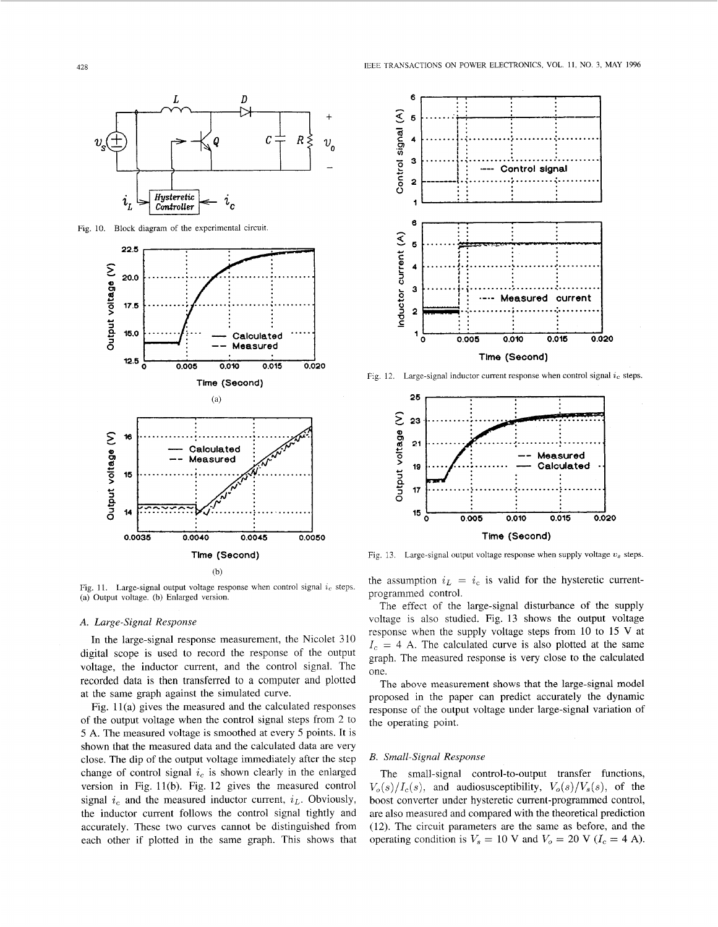<span id="page-5-0"></span>

Fig. 10. Block diagram of the experimental circuit



Fig. 11. Large-signal output voltage response when control signal  $i_c$  steps.<br>(a) Output voltage (b) Enlarged version programmed control. (a) Output voltage. (b) Enlarged version.

## **A.** *Large-Signal Response*

In the large-signal response measurement, the Nicolet 310 digital scope is used to record the response of the output voltage, the inductor current, and the control signal. The recorded data is then transferred to a computer and plotted at the same graph against the simulated curve.

Fig. 11(a) gives the measured and the calculated responses of the output voltage when the control signal steps from 2 to *5* A. The measured voltage is smoothed at every *5* points. It is shown that the measured data and the calculated data are very close. The dip of the output voltage immediately after the step change of control signal  $i<sub>c</sub>$  is shown clearly in the enlarged version in Fig. 11(b). Fig. 12 gives the measured control signal  $i_c$  and the measured inductor current,  $i_L$ . Obviously, the inductor current follows the control signal tightly and accurately. These two curves cannot be distinguished from each other if plotted in the same graph. This shows that



Fig. 12. Large-signal inductor current response when control signal  $i_c$  steps.



**Time (Second) Fig. 13.** Large-signal output voltage response when supply voltage  $v_s$  steps.

the assumption  $i<sub>L</sub> = i<sub>c</sub>$  is valid for the hysteretic current-

The effect of the large-signal disturbance of the supply voltage is also studied. Fig. 13 shows the output voltage response when the supply voltage steps from 10 to 15 V at  $I_c = 4$  A. The calculated curve is also plotted at the same graph. The measured response is very close to the calculated one.

The above measurement shows that the large-signal model proposed in the paper can predict accurately the dynamic response of the output voltage under large-signal variation of the operating point.

#### *B. Small-Signal Response*

The small-signal control-to-output transfer functions,  $V_o(s)/I_c(s)$ , and audiosusceptibility,  $V_o(s)/V_s(s)$ , of the boost converter under hysteretic current-programmed control, are also measured and compared with the theoretical prediction (12). The circuit parameters are the same as before, and the operating condition is  $V_s = 10$  V and  $V_o = 20$  V  $(I_c = 4$  A).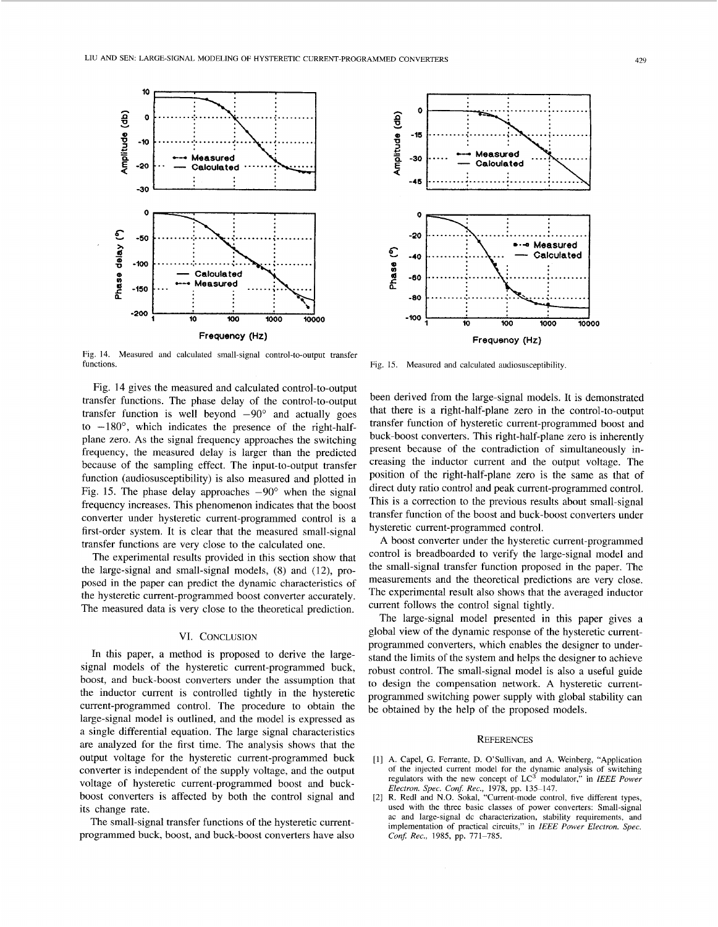



Fig. 14. Measured and calculated small-signal control-to-output transfer functions.

Fig. **14** gives the measured and calculated control-to-output transfer functions. The phase delay of the control-to-output transfer function is well beyond  $-90^\circ$  and actually goes to  $-180^\circ$ , which indicates the presence of the right-halfplane zero. As the signal frequency approaches the switching frequency, the measured delay is larger than the predicted because of the sampling effect. The input-to-output transfer function (audiosusceptibility) is also measured and plotted in Fig. 15. The phase delay approaches  $-90^{\circ}$  when the signal frequency increases. This phenomenon indicates that the boost converter under hysteretic current-programmed control is a first-order system. It is clear that the measured small-signal transfer functions are very close to the calculated one.

The experimental results provided in this section show that the large-signal and small-signal models, (8) and (12), proposed in the paper can predict the dynamic characteristics of the hysteretic current-programmed boost converter accurately. The measured data is very close to the theoretical prediction.

#### VI. CONCLUSION

In this paper, a method is proposed to derive the largesignal models of the hysteretic current-programmed buck, boost, and buck-boost converters under the assumption that the inductor current is controlled tightly in the hysteretic current-programmed control. The procedure to obtain the large-signal model is outlined, and the model is expressed as a single differential equation. The large signal characteristics are analyzed for the first time. The analysis shows that the output voltage for the hysteretic current-programmed buck converter is independent of the supply voltage, and the output voltage of hysteretic current-programmed boost and buckboost converters is affected by both the control signal and its change rate.

The small-signal transfer functions of the hysteretic currentprogrammed buck, boost, and buck-boost converters have also

Fig. 15. Measured and calculated audiosusceptibility.

been derived from the large-signal models. It is demonstrated that there is a right-half-plane zero in the control-to-output transfer function of hysteretic current-programmed boost and buck-boost converters. This right-half-plane zero is inherently present because of the contradiction of simultaneously increasing the inductor current and the output voltage. The position of the right-half-plane zero is the same as that of direct duty ratio control and peak current-programmed control. This is a correction to the previous results about small-signal transfer function of the boost and buck-boost converters under hysteretic current-programmed control.

A boost converter under the hysteretic current-programmed control is breadboarded to verify the large-signal model and the small-signal transfer function proposed in the paper. The measurements and the theoretical predictions are very close. The experimental result also shows that the averaged inductor current follows the control signal tightly.

The large-signal model presented in this paper gives a global view of the dynamic response of the hysteretic currentprogrammed converters, which enables the designer to understand the limits of the system and helps the designer to achieve robust control. The small-signal model is also a useful guide to design the compensation network. A hysteretic currentprogrammed switching power supply with global stability can be obtained by the help of the proposed models.

#### **REFERENCES**

- **A.** Capel, G. Ferrante, D. O'Sullivan, and **A.** Weinberg, "Application of the injected current model for the dynamic analysis of switching regulators with the new concept of LC<sup>3</sup> modulator," in *IEEE Power Electron. Spec. Conf Rec.,* 1978, pp. 135-147.
- $[2]$ R. Redl and N.O. Sokal, "Current-mode control, five different types, used with the three basic classes of power converters: Small-signal ac and large-signal dc characterization, stability requirements, and implementation of practical circuits," in *IEEE Power Electron. Spec. Conj Rec.,* 1985, pp. 771-785.